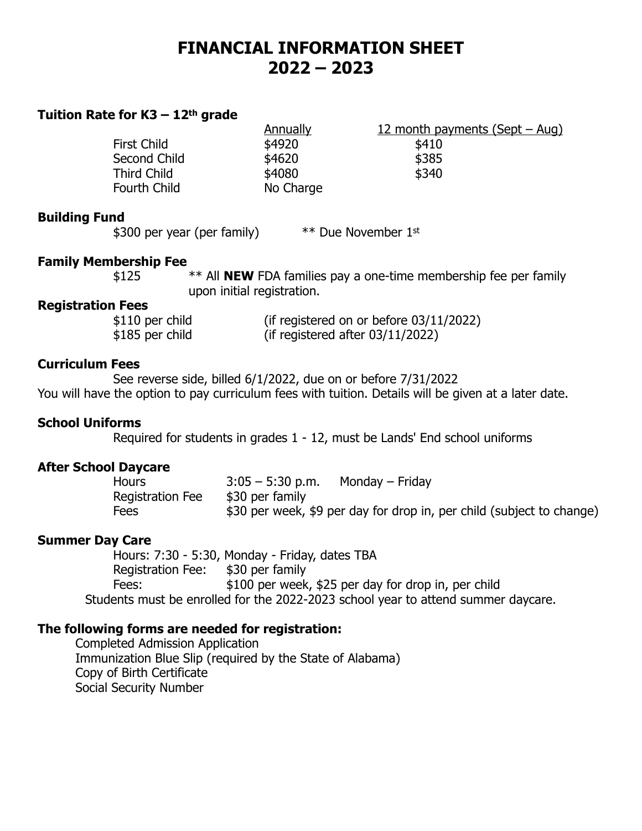# **FINANCIAL INFORMATION SHEET 2022 – 2023**

#### **Tuition Rate for K3 – 12th grade**

First Child  $$4920$  \$410 Second Child  $$4620$  \$385 Third Child  $$4080$  \$340 Fourth Child No Charge

Annually 12 month payments (Sept – Aug)

## **Building Fund**

\$300 per year (per family) \*\* Due November 1st

#### **Family Membership Fee**

\$125 \*\* All **NEW** FDA families pay a one-time membership fee per family upon initial registration.

#### **Registration Fees**

\$110 per child (if registered on or before 03/11/2022) \$185 per child (if registered after 03/11/2022)

#### **Curriculum Fees**

See reverse side, billed 6/1/2022, due on or before 7/31/2022 You will have the option to pay curriculum fees with tuition. Details will be given at a later date.

#### **School Uniforms**

Required for students in grades 1 - 12, must be Lands' End school uniforms

#### **After School Daycare**

Hours 3:05 – 5:30 p.m. Monday – Friday Registration Fee \$30 per family Fees  $$30$  per week, \$9 per day for drop in, per child (subject to change)

#### **Summer Day Care**

Hours: 7:30 - 5:30, Monday - Friday, dates TBA Registration Fee: \$30 per family Fees:  $$100$  per week, \$25 per day for drop in, per child Students must be enrolled for the 2022-2023 school year to attend summer daycare.

## **The following forms are needed for registration:**

Completed Admission Application Immunization Blue Slip (required by the State of Alabama) Copy of Birth Certificate Social Security Number